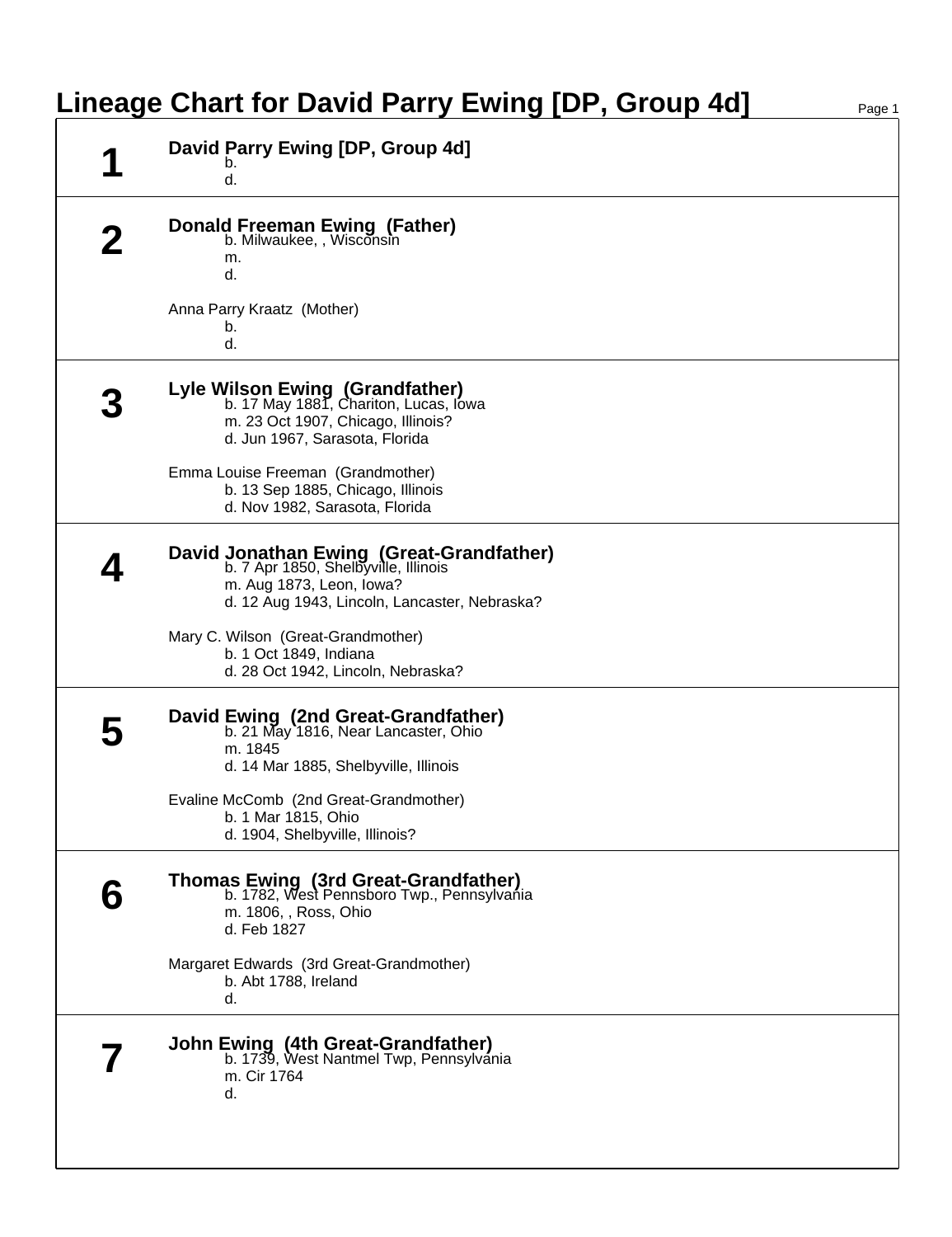## **Lineage Chart for David Parry Ewing [DP, Group 4d]**

| David Parry Ewing [DP, Group 4d]<br>b.<br>d.                                                                                                                  |
|---------------------------------------------------------------------------------------------------------------------------------------------------------------|
| <b>Donald Freeman Ewing (Father)</b><br>b. Milwaukee, , Wisconsin<br>m.<br>d.                                                                                 |
| Anna Parry Kraatz (Mother)<br>b.<br>d.                                                                                                                        |
| Lyle Wilson Ewing (Grandfather)<br>b. 17 May 1881, Chariton, Lucas, Iowa<br>m. 23 Oct 1907, Chicago, Illinois?<br>d. Jun 1967, Sarasota, Florida              |
| Emma Louise Freeman (Grandmother)<br>b. 13 Sep 1885, Chicago, Illinois<br>d. Nov 1982, Sarasota, Florida                                                      |
| David Jonathan Ewing (Great-Grandfather)<br>b. 7 Apr 1850, Shelbyville, Illinois<br>m. Aug 1873, Leon, Iowa?<br>d. 12 Aug 1943, Lincoln, Lancaster, Nebraska? |
| Mary C. Wilson (Great-Grandmother)<br>b. 1 Oct 1849, Indiana<br>d. 28 Oct 1942, Lincoln, Nebraska?                                                            |
| David Ewing (2nd Great-Grandfather)<br>b. 21 May 1816, Near Lancaster, Ohio<br>m. 1845<br>d. 14 Mar 1885, Shelbyville, Illinois                               |
| Evaline McComb (2nd Great-Grandmother)<br>b. 1 Mar 1815, Ohio<br>d. 1904, Shelbyville, Illinois?                                                              |
| Thomas Ewing (3rd Great-Grandfather)<br>b. 1782, West Pennsboro Twp., Pennsylvania<br>m. 1806, , Ross, Ohio<br>d. Feb 1827                                    |
| Margaret Edwards (3rd Great-Grandmother)<br>b. Abt 1788, Ireland<br>d.                                                                                        |
| <b>John Ewing (4th Great-Grandfather)</b><br>b. 1739, West Nantmel Twp, Pennsylvania<br>m. Cir 1764<br>d.                                                     |